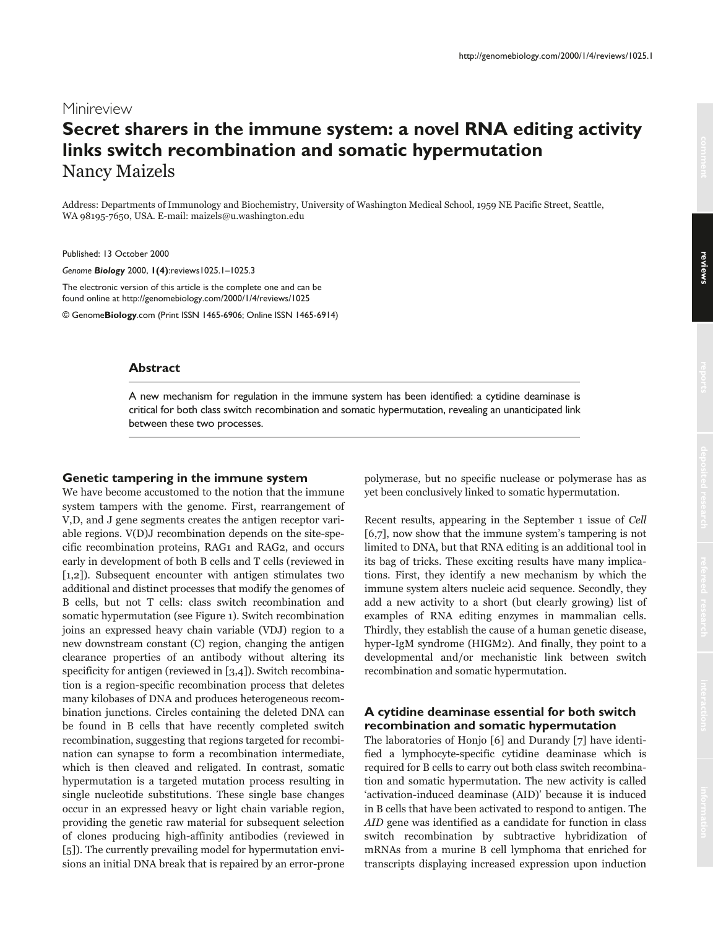# Minireview **Secret sharers in the immune system: a novel RNA editing activity links switch recombination and somatic hypermutation** Nancy Maizels

Address: Departments of Immunology and Biochemistry, University of Washington Medical School, 1959 NE Pacific Street, Seattle, WA 98195-7650, USA. E-mail: maizels@u.washington.edu

Published: 13 October 2000

*Genome Biology* 2000, **1(4)**:reviews1025.1–1025.3

The electronic version of this article is the complete one and can be found online at http://genomebiology.com/2000/1/4/reviews/1025

© Genome**Biology**.com (Print ISSN 1465-6906; Online ISSN 1465-6914)

## **Abstract**

A new mechanism for regulation in the immune system has been identified: a cytidine deaminase is critical for both class switch recombination and somatic hypermutation, revealing an unanticipated link between these two processes.

### **Genetic tampering in the immune system**

We have become accustomed to the notion that the immune system tampers with the genome. First, rearrangement of V,D, and J gene segments creates the antigen receptor variable regions. V(D)J recombination depends on the site-specific recombination proteins, RAG1 and RAG2, and occurs early in development of both B cells and T cells (reviewed in [1,2]). Subsequent encounter with antigen stimulates two additional and distinct processes that modify the genomes of B cells, but not T cells: class switch recombination and somatic hypermutation (see Figure 1). Switch recombination joins an expressed heavy chain variable (VDJ) region to a new downstream constant (C) region, changing the antigen clearance properties of an antibody without altering its specificity for antigen (reviewed in [3,4]). Switch recombination is a region-specific recombination process that deletes many kilobases of DNA and produces heterogeneous recombination junctions. Circles containing the deleted DNA can be found in B cells that have recently completed switch recombination, suggesting that regions targeted for recombination can synapse to form a recombination intermediate, which is then cleaved and religated. In contrast, somatic hypermutation is a targeted mutation process resulting in single nucleotide substitutions. These single base changes occur in an expressed heavy or light chain variable region, providing the genetic raw material for subsequent selection of clones producing high-affinity antibodies (reviewed in [5]). The currently prevailing model for hypermutation envisions an initial DNA break that is repaired by an error-prone polymerase, but no specific nuclease or polymerase has as yet been conclusively linked to somatic hypermutation.

Recent results, appearing in the September 1 issue of Cell [6,7], now show that the immune system's tampering is not limited to DNA, but that RNA editing is an additional tool in its bag of tricks. These exciting results have many implications. First, they identify a new mechanism by which the immune system alters nucleic acid sequence. Secondly, they add a new activity to a short (but clearly growing) list of examples of RNA editing enzymes in mammalian cells. Thirdly, they establish the cause of a human genetic disease, hyper-IgM syndrome (HIGM2). And finally, they point to a developmental and/or mechanistic link between switch recombination and somatic hypermutation.

# **A cytidine deaminase essential for both switch recombination and somatic hypermutation**

The laboratories of Honjo [6] and Durandy [7] have identified a lymphocyte-specific cytidine deaminase which is required for B cells to carry out both class switch recombination and somatic hypermutation. The new activity is called 'activation-induced deaminase (AID)' because it is induced in B cells that have been activated to respond to antigen. The AID gene was identified as a candidate for function in class switch recombination by subtractive hybridization of mRNAs from a murine B cell lymphoma that enriched for transcripts displaying increased expression upon induction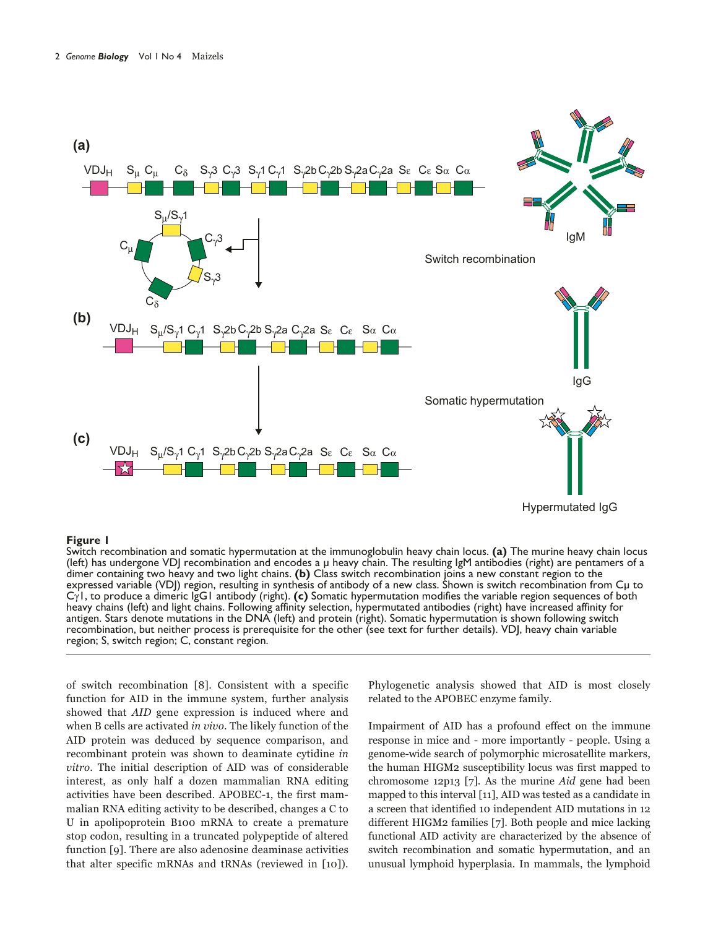

#### **Figure 1**

Switch recombination and somatic hypermutation at the immunoglobulin heavy chain locus. **(a)** The murine heavy chain locus (left) has undergone VDJ recombination and encodes a µ heavy chain. The resulting IgM antibodies (right) are pentamers of a dimer containing two heavy and two light chains. **(b)** Class switch recombination joins a new constant region to the expressed variable (VDJ) region, resulting in synthesis of antibody of a new class. Shown is switch recombination from Cµ to C1, to produce a dimeric IgG1 antibody (right). **(c)** Somatic hypermutation modifies the variable region sequences of both heavy chains (left) and light chains. Following affinity selection, hypermutated antibodies (right) have increased affinity for antigen. Stars denote mutations in the DNA (left) and protein (right). Somatic hypermutation is shown following switch recombination, but neither process is prerequisite for the other (see text for further details). VDJ, heavy chain variable region; S, switch region; C, constant region.

of switch recombination [8]. Consistent with a specific function for AID in the immune system, further analysis showed that *AID* gene expression is induced where and when B cells are activated *in vivo*. The likely function of the AID protein was deduced by sequence comparison, and recombinant protein was shown to deaminate cytidine *in* vitro. The initial description of AID was of considerable interest, as only half a dozen mammalian RNA editing activities have been described. APOBEC-1, the first mammalian RNA editing activity to be described, changes a C to U in apolipoprotein B100 mRNA to create a premature stop codon, resulting in a truncated polypeptide of altered function [9]. There are also adenosine deaminase activities that alter specific mRNAs and tRNAs (reviewed in [10]). Phylogenetic analysis showed that AID is most closely related to the APOBEC enzyme family.

Impairment of AID has a profound effect on the immune response in mice and - more importantly - people. Using a genome-wide search of polymorphic microsatellite markers, the human HIGM2 susceptibility locus was first mapped to chromosome 12p13 [7]. As the murine  $Aid$  gene had been mapped to this interval [11], AID was tested as a candidate in a screen that identified 10 independent AID mutations in 12 different HIGM2 families [7]. Both people and mice lacking functional AID activity are characterized by the absence of switch recombination and somatic hypermutation, and an unusual lymphoid hyperplasia. In mammals, the lymphoid